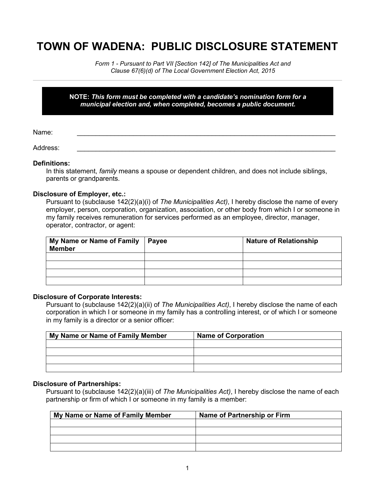# **TOWN OF WADENA: PUBLIC DISCLOSURE STATEMENT**

*Form 1 - Pursuant to Part VII [Section 142] of The Municipalities Act and Clause 67(6)(d) of The Local Government Election Act, 2015*

#### **NOTE:** *This form must be completed with a candidate's nomination form for a municipal election and, when completed, becomes a public document.*

Name: \_\_\_\_\_\_\_\_\_\_\_\_\_\_\_\_\_\_\_\_\_\_\_\_\_\_\_\_\_\_\_\_\_\_\_\_\_\_\_\_\_\_\_\_\_\_\_\_\_\_\_\_\_\_\_\_\_\_\_\_\_\_\_\_\_\_\_\_\_

Address: \_\_\_\_\_\_\_\_\_\_\_\_\_\_\_\_\_\_\_\_\_\_\_\_\_\_\_\_\_\_\_\_\_\_\_\_\_\_\_\_\_\_\_\_\_\_\_\_\_\_\_\_\_\_\_\_\_\_\_\_\_\_\_\_\_\_\_\_\_

## **Definitions:**

In this statement, *family* means a spouse or dependent children, and does not include siblings, parents or grandparents.

## **Disclosure of Employer, etc.:**

Pursuant to (subclause 142(2)(a)(i) of *The Municipalities Act)*, I hereby disclose the name of every employer, person, corporation, organization, association, or other body from which I or someone in my family receives remuneration for services performed as an employee, director, manager, operator, contractor, or agent:

| My Name or Name of Family   Payee<br><b>Member</b> | <b>Nature of Relationship</b> |
|----------------------------------------------------|-------------------------------|
|                                                    |                               |
|                                                    |                               |
|                                                    |                               |
|                                                    |                               |

## **Disclosure of Corporate Interests:**

Pursuant to (subclause 142(2)(a)(ii) of *The Municipalities Act)*, I hereby disclose the name of each corporation in which I or someone in my family has a controlling interest, or of which I or someone in my family is a director or a senior officer:

| My Name or Name of Family Member | Name of Corporation |
|----------------------------------|---------------------|
|                                  |                     |
|                                  |                     |
|                                  |                     |
|                                  |                     |

## **Disclosure of Partnerships:**

Pursuant to (subclause 142(2)(a)(iii) of *The Municipalities Act)*, I hereby disclose the name of each partnership or firm of which I or someone in my family is a member:

| My Name or Name of Family Member | Name of Partnership or Firm |
|----------------------------------|-----------------------------|
|                                  |                             |
|                                  |                             |
|                                  |                             |
|                                  |                             |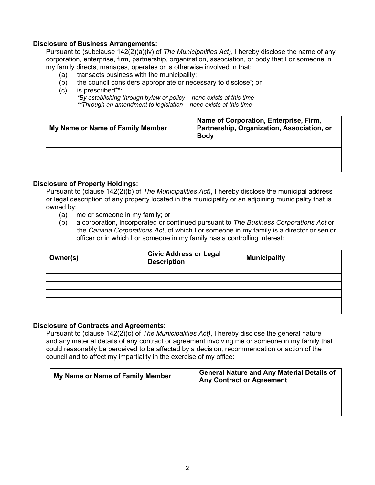#### **Disclosure of Business Arrangements:**

Pursuant to (subclause 142(2)(a)(iv) of *The Municipalities Act)*, I hereby disclose the name of any corporation, enterprise, firm, partnership, organization, association, or body that I or someone in my family directs, manages, operates or is otherwise involved in that:

- (a) transacts business with the municipality;
- (b) the council considers appropriate or necessary to disclose; or
- (c) is prescribed\*\*:

*\*By establishing through bylaw or policy – none exists at this time \*\*Through an amendment to legislation – none exists at this time*

| My Name or Name of Family Member | Name of Corporation, Enterprise, Firm,<br>Partnership, Organization, Association, or<br><b>Body</b> |
|----------------------------------|-----------------------------------------------------------------------------------------------------|
|                                  |                                                                                                     |
|                                  |                                                                                                     |
|                                  |                                                                                                     |
|                                  |                                                                                                     |

#### **Disclosure of Property Holdings:**

Pursuant to (clause 142(2)(b) of *The Municipalities Act)*, I hereby disclose the municipal address or legal description of any property located in the municipality or an adjoining municipality that is owned by:

- (a) me or someone in my family; or
- (b) a corporation, incorporated or continued pursuant to *The Business Corporations Act* or the *Canada Corporations Act*, of which I or someone in my family is a director or senior officer or in which I or someone in my family has a controlling interest:

| Owner(s) | <b>Civic Address or Legal</b><br><b>Description</b> | <b>Municipality</b> |
|----------|-----------------------------------------------------|---------------------|
|          |                                                     |                     |
|          |                                                     |                     |
|          |                                                     |                     |
|          |                                                     |                     |
|          |                                                     |                     |
|          |                                                     |                     |

#### **Disclosure of Contracts and Agreements:**

Pursuant to (clause 142(2)(c) of *The Municipalities Act)*, I hereby disclose the general nature and any material details of any contract or agreement involving me or someone in my family that could reasonably be perceived to be affected by a decision, recommendation or action of the council and to affect my impartiality in the exercise of my office:

| My Name or Name of Family Member | <b>General Nature and Any Material Details of</b><br><b>Any Contract or Agreement</b> |
|----------------------------------|---------------------------------------------------------------------------------------|
|                                  |                                                                                       |
|                                  |                                                                                       |
|                                  |                                                                                       |
|                                  |                                                                                       |